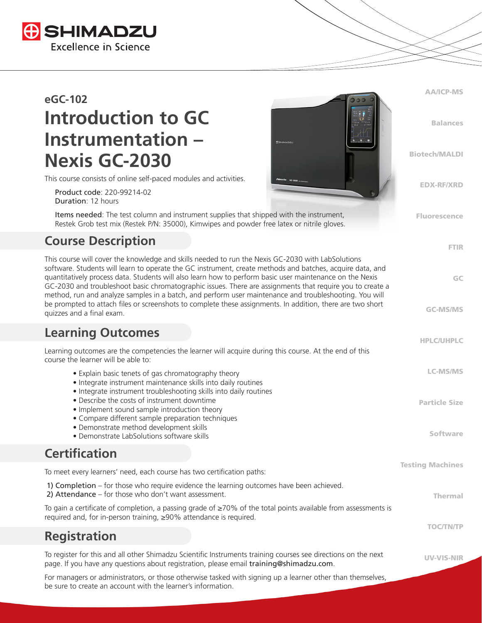

# **eGC-102 Introduction to GC Instrumentation – Nexis GC-2030**

This course consists of online self-paced modules and activities.

 Product code: 220-99214-02 Duration: 12 hours

 Items needed: The test column and instrument supplies that shipped with the instrument, Restek Grob test mix (Restek P/N: 35000), Kimwipes and powder free latex or nitrile gloves.

## **Course Description**

This course will cover the knowledge and skills needed to run the Nexis GC-2030 with LabSolutions software. Students will learn to operate the GC instrument, create methods and batches, acquire data, and quantitatively process data. Students will also learn how to perform basic user maintenance on the Nexis GC-2030 and troubleshoot basic chromatographic issues. There are assignments that require you to create a method, run and analyze samples in a batch, and perform user maintenance and troubleshooting. You will be prompted to attach files or screenshots to complete these assignments. In addition, there are two short quizzes and a final exam.

#### **Learning Outcomes**

| Learning outcomes are the competencies the learner will acquire during this course. At the end of this<br>course the learner will be able to:                                                             |                         |
|-----------------------------------------------------------------------------------------------------------------------------------------------------------------------------------------------------------|-------------------------|
| • Explain basic tenets of gas chromatography theory<br>• Integrate instrument maintenance skills into daily routines<br>• Integrate instrument troubleshooting skills into daily routines                 | <b>LC-MS/MS</b>         |
| • Describe the costs of instrument downtime<br>• Implement sound sample introduction theory<br>• Compare different sample preparation techniques<br>• Demonstrate method development skills               | <b>Particle Size</b>    |
| • Demonstrate LabSolutions software skills                                                                                                                                                                | <b>Software</b>         |
| <b>Certification</b>                                                                                                                                                                                      |                         |
| To meet every learners' need, each course has two certification paths:                                                                                                                                    | <b>Testing Machines</b> |
| 1) Completion – for those who require evidence the learning outcomes have been achieved.<br>2) Attendance $-$ for those who don't want assessment.                                                        | <b>Thermal</b>          |
| To gain a certificate of completion, a passing grade of $\geq$ 70% of the total points available from assessments is<br>required and, for in-person training, ≥90% attendance is required.                |                         |
| <b>Registration</b>                                                                                                                                                                                       | <b>TOC/TN/TP</b>        |
| To register for this and all other Shimadzu Scientific Instruments training courses see directions on the next<br>page. If you have any questions about registration, please email training@shimadzu.com. | <b>UV-VIS-NIR</b>       |
| For managers or administrators, or those otherwise tasked with signing up a learner other than themselves                                                                                                 |                         |

AA/ICP-MS

Balances

Biotech/MALDI

EDX-RF/XRD

Fluorescence

FTIR

GC

GC-MS/MS

HPLC/UHPLC

For managers or administrators, or those otherwise tasked with signing up a learner other than themselves, be sure to create an account with the learner's information.